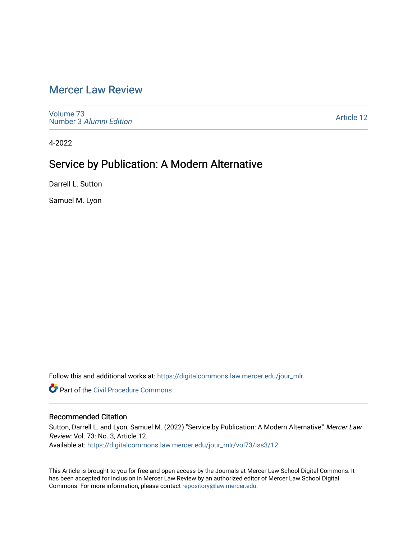## [Mercer Law Review](https://digitalcommons.law.mercer.edu/jour_mlr)

[Volume 73](https://digitalcommons.law.mercer.edu/jour_mlr/vol73) Number 3 [Alumni Edition](https://digitalcommons.law.mercer.edu/jour_mlr/vol73/iss3) 

[Article 12](https://digitalcommons.law.mercer.edu/jour_mlr/vol73/iss3/12) 

4-2022

# Service by Publication: A Modern Alternative

Darrell L. Sutton

Samuel M. Lyon

Follow this and additional works at: [https://digitalcommons.law.mercer.edu/jour\\_mlr](https://digitalcommons.law.mercer.edu/jour_mlr?utm_source=digitalcommons.law.mercer.edu%2Fjour_mlr%2Fvol73%2Fiss3%2F12&utm_medium=PDF&utm_campaign=PDFCoverPages)

**Part of the Civil Procedure Commons** 

### Recommended Citation

Sutton, Darrell L. and Lyon, Samuel M. (2022) "Service by Publication: A Modern Alternative," Mercer Law Review: Vol. 73: No. 3, Article 12. Available at: [https://digitalcommons.law.mercer.edu/jour\\_mlr/vol73/iss3/12](https://digitalcommons.law.mercer.edu/jour_mlr/vol73/iss3/12?utm_source=digitalcommons.law.mercer.edu%2Fjour_mlr%2Fvol73%2Fiss3%2F12&utm_medium=PDF&utm_campaign=PDFCoverPages) 

This Article is brought to you for free and open access by the Journals at Mercer Law School Digital Commons. It has been accepted for inclusion in Mercer Law Review by an authorized editor of Mercer Law School Digital Commons. For more information, please contact [repository@law.mercer.edu.](mailto:repository@law.mercer.edu)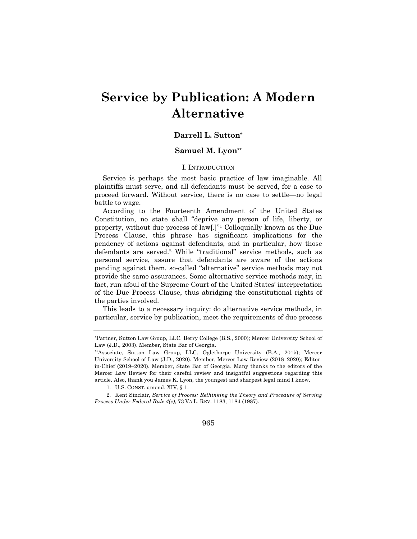# **Service by Publication: A Modern Alternative**

#### **Darrell L. Sutton\***

#### **Samuel M. Lyon\*\***

#### I. INTRODUCTION

Service is perhaps the most basic practice of law imaginable. All plaintiffs must serve, and all defendants must be served, for a case to proceed forward. Without service, there is no case to settle—no legal battle to wage.

According to the Fourteenth Amendment of the United States Constitution, no state shall "deprive any person of life, liberty, or property, without due process of law[.]"1 Colloquially known as the Due Process Clause, this phrase has significant implications for the pendency of actions against defendants, and in particular, how those defendants are served.2 While "traditional" service methods, such as personal service, assure that defendants are aware of the actions pending against them, so-called "alternative" service methods may not provide the same assurances. Some alternative service methods may, in fact, run afoul of the Supreme Court of the United States' interpretation of the Due Process Clause, thus abridging the constitutional rights of the parties involved.

This leads to a necessary inquiry: do alternative service methods, in particular, service by publication, meet the requirements of due process

965

<sup>\*</sup>Partner, Sutton Law Group, LLC. Berry College (B.S., 2000); Mercer University School of Law (J.D., 2003). Member, State Bar of Georgia.

<sup>\*\*</sup>Associate, Sutton Law Group, LLC. Oglethorpe University (B.A., 2015); Mercer University School of Law (J.D., 2020). Member, Mercer Law Review (2018–2020); Editorin-Chief (2019–2020). Member, State Bar of Georgia. Many thanks to the editors of the Mercer Law Review for their careful review and insightful suggestions regarding this article. Also, thank you James K. Lyon, the youngest and sharpest legal mind I know.

<sup>1.</sup> U.S. CONST. amend. XIV, § 1.

<sup>2.</sup> Kent Sinclair, *Service of Process: Rethinking the Theory and Procedure of Serving Process Under Federal Rule 4(c)*, 73 VA L. REV. 1183, 1184 (1987).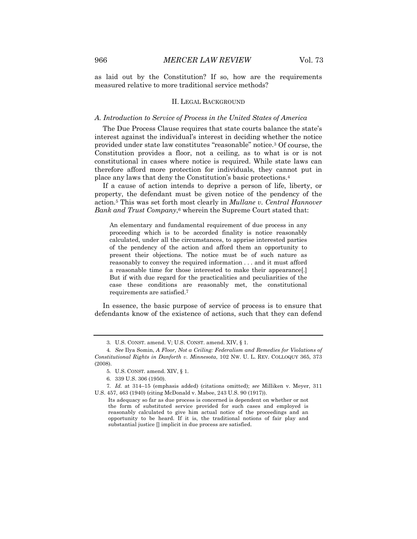as laid out by the Constitution? If so, how are the requirements measured relative to more traditional service methods?

#### II. LEGAL BACKGROUND

#### *A. Introduction to Service of Process in the United States of America*

The Due Process Clause requires that state courts balance the state's interest against the individual's interest in deciding whether the notice provided under state law constitutes "reasonable" notice.3 Of course, the Constitution provides a floor, not a ceiling, as to what is or is not constitutional in cases where notice is required. While state laws can therefore afford more protection for individuals, they cannot put in place any laws that deny the Constitution's basic protections.4

If a cause of action intends to deprive a person of life, liberty, or property, the defendant must be given notice of the pendency of the action.5 This was set forth most clearly in *Mullane v. Central Hannover Bank and Trust Company*,6 wherein the Supreme Court stated that:

An elementary and fundamental requirement of due process in any proceeding which is to be accorded finality is notice reasonably calculated, under all the circumstances, to apprise interested parties of the pendency of the action and afford them an opportunity to present their objections. The notice must be of such nature as reasonably to convey the required information . . . and it must afford a reasonable time for those interested to make their appearance[.] But if with due regard for the practicalities and peculiarities of the case these conditions are reasonably met, the constitutional requirements are satisfied.7

In essence, the basic purpose of service of process is to ensure that defendants know of the existence of actions, such that they can defend

6. 339 U.S. 306 (1950).

<sup>3.</sup> U.S. CONST. amend. V; U.S. CONST. amend. XIV, § 1.

<sup>4</sup>*. See* Ilya Somin, *A Floor, Not a Ceiling: Federalism and Remedies for Violations of Constitutional Rights in Danforth v. Minnesota*, 102 NW. U. L. REV. COLLOQUY 365, 373 (2008).

<sup>5.</sup> U.S. CONST. amend. XIV, § 1.

<sup>7</sup>*. Id.* at 314–15 (emphasis added) (citations omitted); *see* Milliken v. Meyer, 311 U.S. 457, 463 (1940) (citing McDonald v. Mabee, 243 U.S. 90 (1917)).

Its adequacy so far as due process is concerned is dependent on whether or not the form of substituted service provided for such cases and employed is reasonably calculated to give him actual notice of the proceedings and an opportunity to be heard. If it is, the traditional notions of fair play and substantial justice [] implicit in due process are satisfied.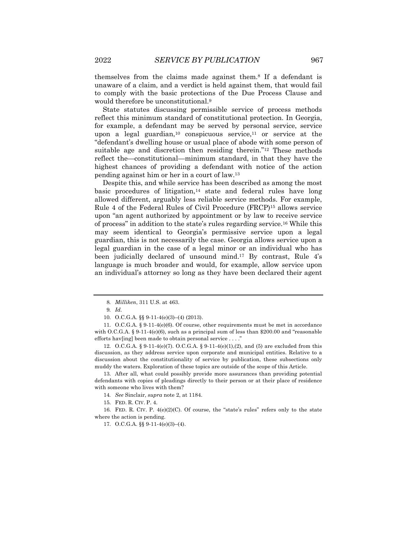themselves from the claims made against them.8 If a defendant is unaware of a claim, and a verdict is held against them, that would fail to comply with the basic protections of the Due Process Clause and would therefore be unconstitutional.9

State statutes discussing permissible service of process methods reflect this minimum standard of constitutional protection. In Georgia, for example, a defendant may be served by personal service, service upon a legal guardian,10 conspicuous service,11 or service at the "defendant's dwelling house or usual place of abode with some person of suitable age and discretion then residing therein."<sup>12</sup> These methods reflect the—constitutional—minimum standard, in that they have the highest chances of providing a defendant with notice of the action pending against him or her in a court of law.13

Despite this, and while service has been described as among the most basic procedures of litigation, $14$  state and federal rules have long allowed different, arguably less reliable service methods. For example, Rule 4 of the Federal Rules of Civil Procedure (FRCP)15 allows service upon "an agent authorized by appointment or by law to receive service of process" in addition to the state's rules regarding service.16 While this may seem identical to Georgia's permissive service upon a legal guardian, this is not necessarily the case. Georgia allows service upon a legal guardian in the case of a legal minor or an individual who has been judicially declared of unsound mind.17 By contrast, Rule 4's language is much broader and would, for example, allow service upon an individual's attorney so long as they have been declared their agent

11. O.C.G.A. § 9-11-4(e)(6). Of course, other requirements must be met in accordance with O.C.G.A. § 9-11-4 $(e)(6)$ , such as a principal sum of less than \$200.00 and "reasonable efforts hav[ing] been made to obtain personal service . . . ."

12. O.C.G.A. § 9-11-4(e)(7). O.C.G.A. § 9-11-4(e)(1),(2), and (5) are excluded from this discussion, as they address service upon corporate and municipal entities. Relative to a discussion about the constitutionality of service by publication, these subsections only muddy the waters. Exploration of these topics are outside of the scope of this Article.

13. After all, what could possibly provide more assurances than providing potential defendants with copies of pleadings directly to their person or at their place of residence with someone who lives with them?

14*. See* Sinclair, *supra* note 2, at 1184.

15. FED. R. CIV. P. 4.

16. FED. R. CIV. P.  $4(e)(2)(C)$ . Of course, the "state's rules" refers only to the state where the action is pending.

17. O.C.G.A. §§ 9-11-4(e)(3)–(4).

<sup>8</sup>*. Milliken*, 311 U.S. at 463.

<sup>9</sup>*. Id.*

<sup>10.</sup> O.C.G.A. §§ 9-11-4(e)(3)–(4) (2013).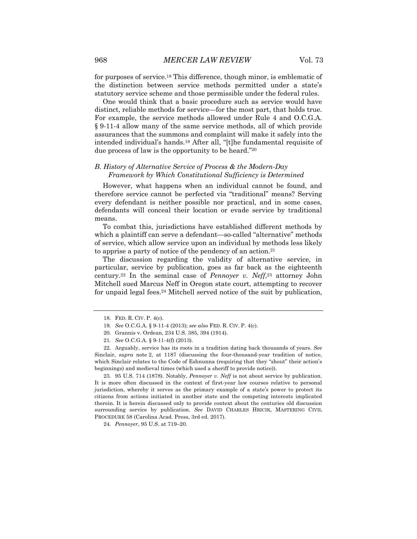for purposes of service.18 This difference, though minor, is emblematic of the distinction between service methods permitted under a state's statutory service scheme and those permissible under the federal rules.

One would think that a basic procedure such as service would have distinct, reliable methods for service—for the most part, that holds true. For example, the service methods allowed under Rule 4 and O.C.G.A. § 9-11-4 allow many of the same service methods, all of which provide assurances that the summons and complaint will make it safely into the intended individual's hands.19 After all, "[t]he fundamental requisite of due process of law is the opportunity to be heard."20

#### *B. History of Alternative Service of Process & the Modern-Day Framework by Which Constitutional Sufficiency is Determined*

However, what happens when an individual cannot be found, and therefore service cannot be perfected via "traditional" means? Serving every defendant is neither possible nor practical, and in some cases, defendants will conceal their location or evade service by traditional means.

To combat this, jurisdictions have established different methods by which a plaintiff can serve a defendant—so-called "alternative" methods of service, which allow service upon an individual by methods less likely to apprise a party of notice of the pendency of an action.21

The discussion regarding the validity of alternative service, in particular, service by publication, goes as far back as the eighteenth century.22 In the seminal case of *Pennoyer v. Neff*,23 attorney John Mitchell sued Marcus Neff in Oregon state court, attempting to recover for unpaid legal fees.<sup>24</sup> Mitchell served notice of the suit by publication,

23. 95 U.S. 714 (1878). Notably, *Pennoyer v. Neff* is not about service by publication. It is more often discussed in the context of first-year law courses relative to personal jurisdiction, whereby it serves as the primary example of a state's power to protect its citizens from actions initiated in another state and the competing interests implicated therein. It is herein discussed only to provide context about the centuries old discussion surrounding service by publication. *See* DAVID CHARLES HRICIK, MASTERING CIVIL PROCEDURE 58 (Carolina Acad. Press, 3rd ed. 2017).

24*. Pennoyer*, 95 U.S. at 719–20.

<sup>18.</sup> FED. R. CIV. P. 4(c).

<sup>19</sup>*. See* O.C.G.A. § 9-11-4 (2013); *see also* FED. R. CIV. P. 4(c).

<sup>20.</sup> Grannis v. Ordean, 234 U.S. 385, 394 (1914).

<sup>21</sup>*. See* O.C.G.A. § 9-11-4(f) (2013).

<sup>22.</sup> Arguably, service has its roots in a tradition dating back thousands of years. *See* Sinclair, *supra* note 2, at 1187 (discussing the four-thousand-year tradition of notice, which Sinclair relates to the Code of Eshnunna (requiring that they "shout" their action's beginnings) and medieval times (which used a sheriff to provide notice)).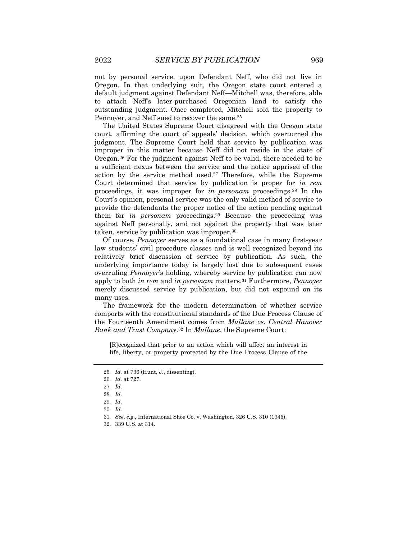not by personal service, upon Defendant Neff, who did not live in Oregon. In that underlying suit, the Oregon state court entered a default judgment against Defendant Neff—Mitchell was, therefore, able to attach Neff's later-purchased Oregonian land to satisfy the outstanding judgment. Once completed, Mitchell sold the property to Pennoyer, and Neff sued to recover the same.25

The United States Supreme Court disagreed with the Oregon state court, affirming the court of appeals' decision, which overturned the judgment. The Supreme Court held that service by publication was improper in this matter because Neff did not reside in the state of Oregon.26 For the judgment against Neff to be valid, there needed to be a sufficient nexus between the service and the notice apprised of the action by the service method used.27 Therefore, while the Supreme Court determined that service by publication is proper for *in rem* proceedings, it was improper for *in personam* proceedings.28 In the Court's opinion, personal service was the only valid method of service to provide the defendants the proper notice of the action pending against them for *in personam* proceedings.29 Because the proceeding was against Neff personally, and not against the property that was later taken, service by publication was improper.30

Of course, *Pennoyer* serves as a foundational case in many first-year law students' civil procedure classes and is well recognized beyond its relatively brief discussion of service by publication. As such, the underlying importance today is largely lost due to subsequent cases overruling *Pennoyer*'s holding, whereby service by publication can now apply to both *in rem* and *in personam* matters.31 Furthermore, *Pennoyer* merely discussed service by publication, but did not expound on its many uses.

The framework for the modern determination of whether service comports with the constitutional standards of the Due Process Clause of the Fourteenth Amendment comes from *Mullane vs. Central Hanover Bank and Trust Company*.32 In *Mullane*, the Supreme Court:

[R]ecognized that prior to an action which will affect an interest in life, liberty, or property protected by the Due Process Clause of the

<sup>25</sup>*. Id.* at 736 (Hunt, J., dissenting).

<sup>26</sup>*. Id.* at 727.

<sup>27</sup>*. Id.*

<sup>28</sup>*. Id.*

<sup>29</sup>*. Id.*

<sup>30</sup>*. Id.*

<sup>31</sup>*. See*, *e.g.*, International Shoe Co. v. Washington, 326 U.S. 310 (1945).

<sup>32.</sup> 339 U.S. at 314.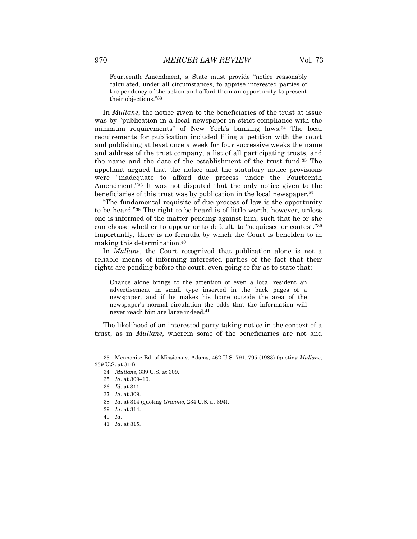Fourteenth Amendment, a State must provide "notice reasonably calculated, under all circumstances, to apprise interested parties of the pendency of the action and afford them an opportunity to present their objections."33

In *Mullane*, the notice given to the beneficiaries of the trust at issue was by "publication in a local newspaper in strict compliance with the minimum requirements" of New York's banking laws.34 The local requirements for publication included filing a petition with the court and publishing at least once a week for four successive weeks the name and address of the trust company, a list of all participating trusts, and the name and the date of the establishment of the trust fund.35 The appellant argued that the notice and the statutory notice provisions were "inadequate to afford due process under the Fourteenth Amendment."36 It was not disputed that the only notice given to the beneficiaries of this trust was by publication in the local newspaper.37

"The fundamental requisite of due process of law is the opportunity to be heard."38 The right to be heard is of little worth, however, unless one is informed of the matter pending against him, such that he or she can choose whether to appear or to default, to "acquiesce or contest."39 Importantly, there is no formula by which the Court is beholden to in making this determination.40

In *Mullane*, the Court recognized that publication alone is not a reliable means of informing interested parties of the fact that their rights are pending before the court, even going so far as to state that:

Chance alone brings to the attention of even a local resident an advertisement in small type inserted in the back pages of a newspaper, and if he makes his home outside the area of the newspaper's normal circulation the odds that the information will never reach him are large indeed.41

The likelihood of an interested party taking notice in the context of a trust, as in *Mullane*, wherein some of the beneficiaries are not and

<sup>33.</sup> Mennonite Bd. of Missions v. Adams, 462 U.S. 791, 795 (1983) (quoting *Mullane*, 339 U.S. at 314).

<sup>34</sup>*. Mullane*, 339 U.S. at 309.

<sup>35</sup>*. Id.* at 309–10.

<sup>36</sup>*. Id.* at 311.

<sup>37</sup>*. Id.* at 309.

<sup>38</sup>*. Id.* at 314 (quoting *Grannis*, 234 U.S. at 394).

<sup>39</sup>*. Id.* at 314.

<sup>40</sup>*. Id.*

<sup>41</sup>*. Id.* at 315.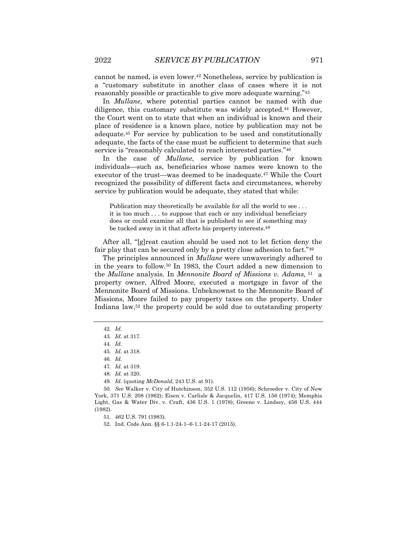cannot be named, is even lower.42 Nonetheless, service by publication is a "customary substitute in another class of cases where it is not reasonably possible or practicable to give more adequate warning."43

In *Mullane*, where potential parties cannot be named with due diligence, this customary substitute was widely accepted.44 However, the Court went on to state that when an individual is known and their place of residence is a known place, notice by publication may not be adequate.45 For service by publication to be used and constitutionally adequate, the facts of the case must be sufficient to determine that such service is "reasonably calculated to reach interested parties."46

In the case of *Mullane*, service by publication for known individuals—such as, beneficiaries whose names were known to the executor of the trust—was deemed to be inadequate.47 While the Court recognized the possibility of different facts and circumstances, whereby service by publication would be adequate, they stated that while:

Publication may theoretically be available for all the world to see ... it is too much . . . to suppose that each or any individual beneficiary does or could examine all that is published to see if something may be tucked away in it that affects his property interests.48

After all, "[g]reat caution should be used not to let fiction deny the fair play that can be secured only by a pretty close adhesion to fact."49

The principles announced in *Mullane* were unwaveringly adhered to in the years to follow.50 In 1983, the Court added a new dimension to the *Mullane* analysis. In *Mennonite Board of Missions v. Adams*, 51 a property owner, Alfred Moore, executed a mortgage in favor of the Mennonite Board of Missions. Unbeknownst to the Mennonite Board of Missions, Moore failed to pay property taxes on the property. Under Indiana law,52 the property could be sold due to outstanding property

49*. Id.* (quoting *McDonald*, 243 U.S. at 91).

<sup>42</sup>*. Id.*

<sup>43</sup>*. Id.* at 317.

<sup>44</sup>*. Id.*

<sup>45</sup>*. Id.* at 318.

<sup>46</sup>*. Id.*

<sup>47</sup>*. Id.* at 319.

<sup>48</sup>*. Id.* at 320.

<sup>50</sup>*. See* Walker v. City of Hutchinson, 352 U.S. 112 (1956); Schroeder v. City of New York, 371 U.S. 208 (1962); Eisen v. Carlisle & Jacquelin, 417 U.S. 156 (1974); Memphis Light, Gas & Water Div. v. Craft, 436 U.S. 1 (1978); Greene v. Lindsey, 456 U.S. 444 (1982).

<sup>51.</sup> 462 U.S. 791 (1983).

<sup>52.</sup> Ind. Code Ann. §§ 6-1.1-24-1–6-1.1-24-17 (2015).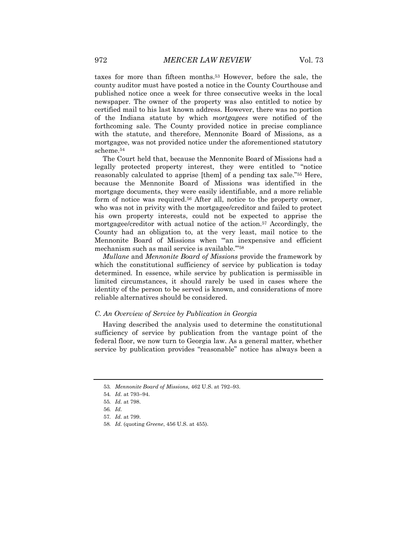taxes for more than fifteen months.53 However, before the sale, the county auditor must have posted a notice in the County Courthouse and published notice once a week for three consecutive weeks in the local newspaper. The owner of the property was also entitled to notice by certified mail to his last known address. However, there was no portion of the Indiana statute by which *mortgagees* were notified of the forthcoming sale. The County provided notice in precise compliance with the statute, and therefore, Mennonite Board of Missions, as a mortgagee, was not provided notice under the aforementioned statutory scheme.54

The Court held that, because the Mennonite Board of Missions had a legally protected property interest, they were entitled to "notice reasonably calculated to apprise [them] of a pending tax sale."55 Here, because the Mennonite Board of Missions was identified in the mortgage documents, they were easily identifiable, and a more reliable form of notice was required.56 After all, notice to the property owner, who was not in privity with the mortgagee/creditor and failed to protect his own property interests, could not be expected to apprise the mortgagee/creditor with actual notice of the action.57 Accordingly, the County had an obligation to, at the very least, mail notice to the Mennonite Board of Missions when "'an inexpensive and efficient mechanism such as mail service is available.'"58

*Mullane* and *Mennonite Board of Missions* provide the framework by which the constitutional sufficiency of service by publication is today determined. In essence, while service by publication is permissible in limited circumstances, it should rarely be used in cases where the identity of the person to be served is known, and considerations of more reliable alternatives should be considered.

#### *C. An Overview of Service by Publication in Georgia*

Having described the analysis used to determine the constitutional sufficiency of service by publication from the vantage point of the federal floor, we now turn to Georgia law. As a general matter, whether service by publication provides "reasonable" notice has always been a

<sup>53</sup>*. Mennonite Board of Missions,* 462 U.S. at 792–93.

<sup>54</sup>*. Id.* at 793–94.

<sup>55</sup>*. Id.* at 798.

<sup>56</sup>*. Id.*

<sup>57</sup>*. Id.* at 799.

<sup>58</sup>*. Id.* (quoting *Greene*, 456 U.S. at 455).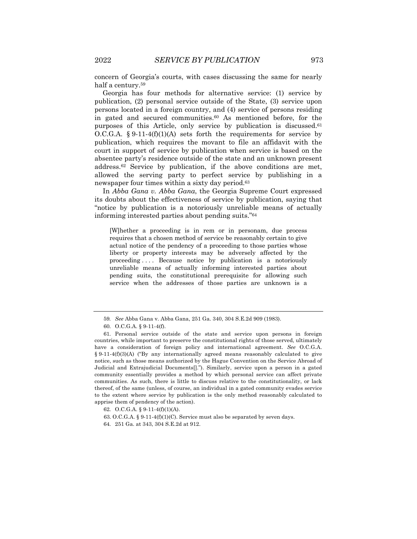concern of Georgia's courts, with cases discussing the same for nearly half a century.59

Georgia has four methods for alternative service: (1) service by publication, (2) personal service outside of the State, (3) service upon persons located in a foreign country, and (4) service of persons residing in gated and secured communities.60 As mentioned before, for the purposes of this Article, only service by publication is discussed.<sup>61</sup> O.C.G.A.  $§ 9-11-4(f)(1)(A)$  sets forth the requirements for service by publication, which requires the movant to file an affidavit with the court in support of service by publication when service is based on the absentee party's residence outside of the state and an unknown present address.62 Service by publication, if the above conditions are met, allowed the serving party to perfect service by publishing in a newspaper four times within a sixty day period.63

In *Abba Gana v. Abba Gana*, the Georgia Supreme Court expressed its doubts about the effectiveness of service by publication, saying that "notice by publication is a notoriously unreliable means of actually informing interested parties about pending suits."64

[W]hether a proceeding is in rem or in personam, due process requires that a chosen method of service be reasonably certain to give actual notice of the pendency of a proceeding to those parties whose liberty or property interests may be adversely affected by the proceeding . . . . Because notice by publication is a notoriously unreliable means of actually informing interested parties about pending suits, the constitutional prerequisite for allowing such service when the addresses of those parties are unknown is a

<sup>59</sup>*. See* Abba Gana v. Abba Gana, 251 Ga. 340, 304 S.E.2d 909 (1983).

<sup>60.</sup> O.C.G.A. § 9-11-4(f).

<sup>61.</sup> Personal service outside of the state and service upon persons in foreign countries, while important to preserve the constitutional rights of those served, ultimately have a consideration of foreign policy and international agreement. *See* O.C.G.A.  $§ 9-11-4(f)(3)(A)$  ("By any internationally agreed means reasonably calculated to give notice, such as those means authorized by the Hague Convention on the Service Abroad of Judicial and Extrajudicial Documents[]."). Similarly, service upon a person in a gated community essentially provides a method by which personal service can affect private communities. As such, there is little to discuss relative to the constitutionality, or lack thereof, of the same (unless, of course, an individual in a gated community evades service to the extent where service by publication is the only method reasonably calculated to apprise them of pendency of the action).

<sup>62.</sup> O.C.G.A. § 9-11-4(f)(1)(A).

<sup>63.</sup> O.C.G.A. § 9-11-4(f)(1)(C). Service must also be separated by seven days.

<sup>64.</sup> 251 Ga. at 343, 304 S.E.2d at 912.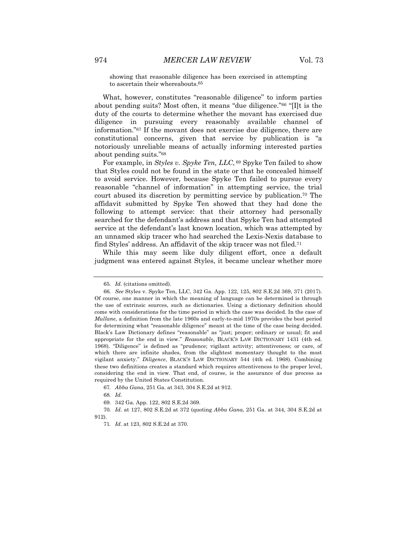showing that reasonable diligence has been exercised in attempting to ascertain their whereabouts.65

What, however, constitutes "reasonable diligence" to inform parties about pending suits? Most often, it means "due diligence."66 "[I]t is the duty of the courts to determine whether the movant has exercised due diligence in pursuing every reasonably available channel of information."67 If the movant does not exercise due diligence, there are constitutional concerns, given that service by publication is "a notoriously unreliable means of actually informing interested parties about pending suits."68

For example, in *Styles v. Spyke Ten, LLC*, <sup>69</sup> Spyke Ten failed to show that Styles could not be found in the state or that he concealed himself to avoid service. However, because Spyke Ten failed to pursue every reasonable "channel of information" in attempting service, the trial court abused its discretion by permitting service by publication.70 The affidavit submitted by Spyke Ten showed that they had done the following to attempt service: that their attorney had personally searched for the defendant's address and that Spyke Ten had attempted service at the defendant's last known location, which was attempted by an unnamed skip tracer who had searched the Lexis-Nexis database to find Styles' address. An affidavit of the skip tracer was not filed.71

While this may seem like duly diligent effort, once a default judgment was entered against Styles, it became unclear whether more

<sup>65</sup>*. Id.* (citations omitted).

<sup>66</sup>*. See* Styles v. Spyke Ten, LLC, 342 Ga. App. 122, 125, 802 S.E.2d 369, 371 (2017). Of course, one manner in which the meaning of language can be determined is through the use of extrinsic sources, such as dictionaries. Using a dictionary definition should come with considerations for the time period in which the case was decided. In the case of *Mullane*, a definition from the late 1960s and early-to-mid 1970s provides the best period for determining what "reasonable diligence" meant at the time of the case being decided. Black's Law Dictionary defines "reasonable" as "just; proper; ordinary or usual; fit and appropriate for the end in view." *Reasonable*, BLACK'S LAW DICTIONARY 1431 (4th ed. 1968). "Diligence" is defined as "prudence; vigilant activity; attentiveness; or care, of which there are infinite shades, from the slightest momentary thought to the most vigilant anxiety." *Diligence*, BLACK'S LAW DICTIONARY 544 (4th ed. 1968). Combining these two definitions creates a standard which requires attentiveness to the proper level, considering the end in view. That end, of course, is the assurance of due process as required by the United States Constitution.

<sup>67</sup>*. Abba Gana*, 251 Ga. at 343, 304 S.E.2d at 912.

<sup>68</sup>*. Id.*

<sup>69.</sup> 342 Ga. App. 122, 802 S.E.2d 369.

<sup>70</sup>*. Id.* at 127, 802 S.E.2d at 372 (quoting *Abba Gana*, 251 Ga. at 344, 304 S.E.2d at 912).

<sup>71</sup>*. Id.* at 123, 802 S.E.2d at 370.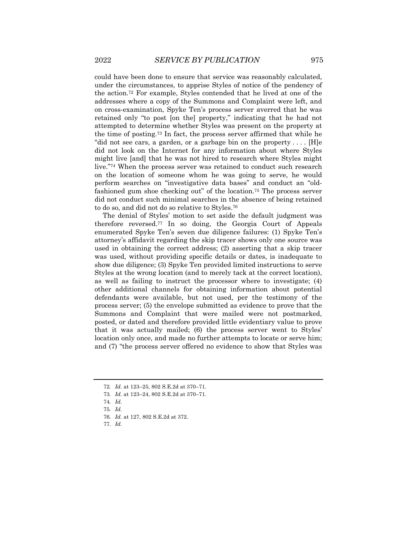could have been done to ensure that service was reasonably calculated, under the circumstances, to apprise Styles of notice of the pendency of the action.72 For example, Styles contended that he lived at one of the addresses where a copy of the Summons and Complaint were left, and on cross-examination, Spyke Ten's process server averred that he was retained only "to post [on the] property," indicating that he had not attempted to determine whether Styles was present on the property at the time of posting.73 In fact, the process server affirmed that while he "did not see cars, a garden, or a garbage bin on the property . . . . [H]e did not look on the Internet for any information about where Styles might live [and] that he was not hired to research where Styles might live."74 When the process server was retained to conduct such research on the location of someone whom he was going to serve, he would perform searches on "investigative data bases" and conduct an "oldfashioned gum shoe checking out" of the location.75 The process server did not conduct such minimal searches in the absence of being retained to do so, and did not do so relative to Styles.76

The denial of Styles' motion to set aside the default judgment was therefore reversed.77 In so doing, the Georgia Court of Appeals enumerated Spyke Ten's seven due diligence failures: (1) Spyke Ten's attorney's affidavit regarding the skip tracer shows only one source was used in obtaining the correct address; (2) asserting that a skip tracer was used, without providing specific details or dates, is inadequate to show due diligence; (3) Spyke Ten provided limited instructions to serve Styles at the wrong location (and to merely tack at the correct location), as well as failing to instruct the processor where to investigate; (4) other additional channels for obtaining information about potential defendants were available, but not used, per the testimony of the process server; (5) the envelope submitted as evidence to prove that the Summons and Complaint that were mailed were not postmarked, posted, or dated and therefore provided little evidentiary value to prove that it was actually mailed; (6) the process server went to Styles' location only once, and made no further attempts to locate or serve him; and (7) "the process server offered no evidence to show that Styles was

<sup>72</sup>*. Id.* at 123–25, 802 S.E.2d at 370–71.

<sup>73</sup>*. Id.* at 123–24, 802 S.E.2d at 370–71.

<sup>74</sup>*. Id.*

<sup>75</sup>*. Id.*

<sup>76</sup>*. Id.* at 127, 802 S.E.2d at 372.

<sup>77</sup>*. Id.*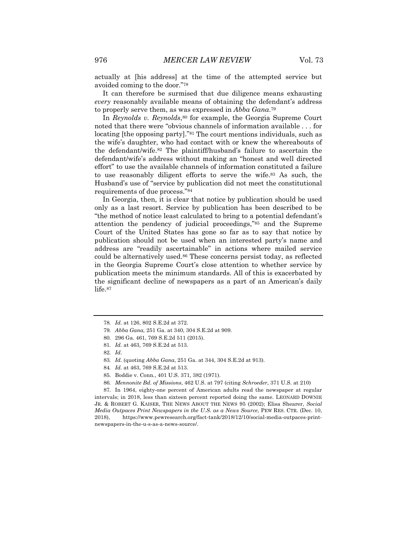actually at [his address] at the time of the attempted service but avoided coming to the door."78

It can therefore be surmised that due diligence means exhausting *every* reasonably available means of obtaining the defendant's address to properly serve them, as was expressed in *Abba Gana*.79

In *Reynolds v. Reynolds*,<sup>80</sup> for example, the Georgia Supreme Court noted that there were "obvious channels of information available . . . for locating [the opposing party]."<sup>81</sup> The court mentions individuals, such as the wife's daughter, who had contact with or knew the whereabouts of the defendant/wife.82 The plaintiff/husband's failure to ascertain the defendant/wife's address without making an "honest and well directed effort" to use the available channels of information constituted a failure to use reasonably diligent efforts to serve the wife.83 As such, the Husband's use of "service by publication did not meet the constitutional requirements of due process."84

In Georgia, then, it is clear that notice by publication should be used only as a last resort. Service by publication has been described to be "the method of notice least calculated to bring to a potential defendant's attention the pendency of judicial proceedings,"85 and the Supreme Court of the United States has gone so far as to say that notice by publication should not be used when an interested party's name and address are "readily ascertainable" in actions where mailed service could be alternatively used.86 These concerns persist today, as reflected in the Georgia Supreme Court's close attention to whether service by publication meets the minimum standards. All of this is exacerbated by the significant decline of newspapers as a part of an American's daily life.87

87. In 1964, eighty-one percent of American adults read the newspaper at regular intervals; in 2018, less than sixteen percent reported doing the same. LEONARD DOWNIE JR. & ROBERT G. KAISER, THE NEWS ABOUT THE NEWS 95 (2002); Elisa Shearer, *Social Media Outpaces Print Newspapers in the U.S. as a News Source*, PEW RES. CTR. (Dec. 10, 2018), https://www.pewresearch.org/fact-tank/2018/12/10/social-media-outpaces-printnewspapers-in-the-u-s-as-a-news-source/.

<sup>78</sup>*. Id.* at 126, 802 S.E.2d at 372.

<sup>79</sup>*. Abba Gana,* 251 Ga. at 340, 304 S.E.2d at 909.

<sup>80.</sup> 296 Ga. 461, 769 S.E.2d 511 (2015).

<sup>81</sup>*. Id.* at 463, 769 S.E.2d at 513.

<sup>82</sup>*. Id.*

<sup>83</sup>*. Id.* (quoting *Abba Gana*, 251 Ga. at 344, 304 S.E.2d at 913).

<sup>84</sup>*. Id.* at 463, 769 S.E.2d at 513.

<sup>85.</sup> Boddie v. Conn*.*, 401 U.S. 371, 382 (1971).

<sup>86</sup>*. Mennonite Bd. of Missions*, 462 U.S. at 797 (citing *Schroeder*, 371 U.S. at 210)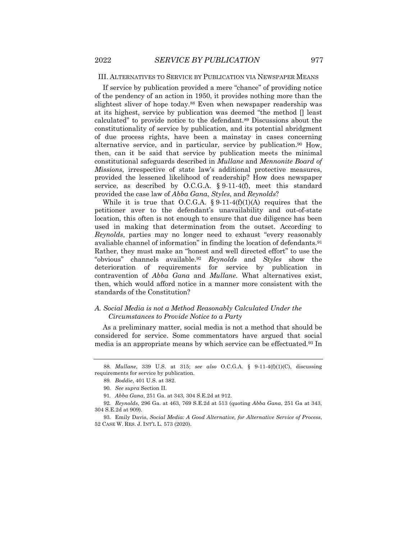#### III. ALTERNATIVES TO SERVICE BY PUBLICATION VIA NEWSPAPER MEANS

If service by publication provided a mere "chance" of providing notice of the pendency of an action in 1950, it provides nothing more than the slightest sliver of hope today.88 Even when newspaper readership was at its highest, service by publication was deemed "the method [] least calculated" to provide notice to the defendant.89 Discussions about the constitutionality of service by publication, and its potential abridgment of due process rights, have been a mainstay in cases concerning alternative service, and in particular, service by publication.90 How, then, can it be said that service by publication meets the minimal constitutional safeguards described in *Mullane* and *Mennonite Board of Missions*, irrespective of state law's additional protective measures, provided the lessened likelihood of readership? How does newspaper service, as described by O.C.G.A. § 9-11-4(f), meet this standard provided the case law of *Abba Gana*, *Styles*, and *Reynolds*?

While it is true that O.C.G.A.  $\S 9-11-4(f)(1)(A)$  requires that the petitioner aver to the defendant's unavailability and out-of-state location, this often is not enough to ensure that due diligence has been used in making that determination from the outset. According to *Reynolds*, parties may no longer need to exhaust "every reasonably avaliable channel of information" in finding the location of defendants.<sup>91</sup> Rather, they must make an "honest and well directed effort" to use the "obvious" channels available.92 *Reynolds* and *Styles* show the deterioration of requirements for service by publication in contravention of *Abba Gana* and *Mullane*. What alternatives exist, then, which would afford notice in a manner more consistent with the standards of the Constitution?

#### *A. Social Media is not a Method Reasonably Calculated Under the Circumstances to Provide Notice to a Party*

As a preliminary matter, social media is not a method that should be considered for service. Some commentators have argued that social media is an appropriate means by which service can be effectuated.93 In

<sup>88</sup>*. Mullane*, 339 U.S. at 315; *see also* O.C.G.A. § 9-11-4(f)(1)(C), discussing requirements for service by publication.

<sup>89</sup>*. Boddie*, 401 U.S. at 382.

<sup>90</sup>*. See supra* Section II.

<sup>91</sup>*. Abba Gana*, 251 Ga. at 343, 304 S.E.2d at 912.

<sup>92</sup>*. Reynolds*, 296 Ga. at 463, 769 S.E.2d at 513 (quoting *Abba Gana*, 251 Ga at 343, 304 S.E.2d at 909).

<sup>93.</sup> Emily Davis, *Social Media: A Good Alternative, for Alternative Service of Process*, 52 CASE W. RES. J. INT'L L. 573 (2020).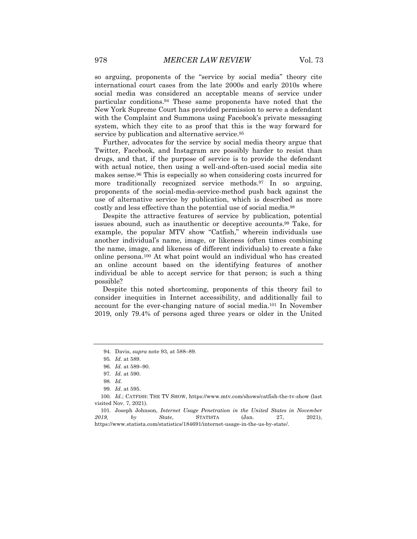so arguing, proponents of the "service by social media" theory cite international court cases from the late 2000s and early 2010s where social media was considered an acceptable means of service under particular conditions.94 These same proponents have noted that the New York Supreme Court has provided permission to serve a defendant with the Complaint and Summons using Facebook's private messaging system, which they cite to as proof that this is the way forward for service by publication and alternative service.<sup>95</sup>

Further, advocates for the service by social media theory argue that Twitter, Facebook, and Instagram are possibly harder to resist than drugs, and that, if the purpose of service is to provide the defendant with actual notice, then using a well-and-often-used social media site makes sense.96 This is especially so when considering costs incurred for more traditionally recognized service methods.97 In so arguing, proponents of the social-media-service-method push back against the use of alternative service by publication, which is described as more costly and less effective than the potential use of social media.98

Despite the attractive features of service by publication, potential issues abound, such as inauthentic or deceptive accounts.99 Take, for example, the popular MTV show "Catfish," wherein individuals use another individual's name, image, or likeness (often times combining the name, image, and likeness of different individuals) to create a fake online persona.100 At what point would an individual who has created an online account based on the identifying features of another individual be able to accept service for that person; is such a thing possible?

Despite this noted shortcoming, proponents of this theory fail to consider inequities in Internet accessibility, and additionally fail to account for the ever-changing nature of social media.101 In November 2019, only 79.4% of persons aged three years or older in the United

<sup>94.</sup> Davis, *supra* note 93, at 588–89.

<sup>95</sup>*. Id.* at 589.

<sup>96</sup>*. Id.* at 589–90.

<sup>97</sup>*. Id.* at 590.

<sup>98</sup>*. Id.*

<sup>99</sup>*. Id.* at 595.

<sup>100</sup>*. Id.*; CATFISH: THE TV SHOW, https://www.mtv.com/shows/catfish-the-tv-show (last visited Nov. 7, 2021).

<sup>101.</sup> Joseph Johnson, *Internet Usage Penetration in the United States in November 2019, by State*, STATISTA (Jan. 27, 2021), https://www.statista.com/statistics/184691/internet-usage-in-the-us-by-state/.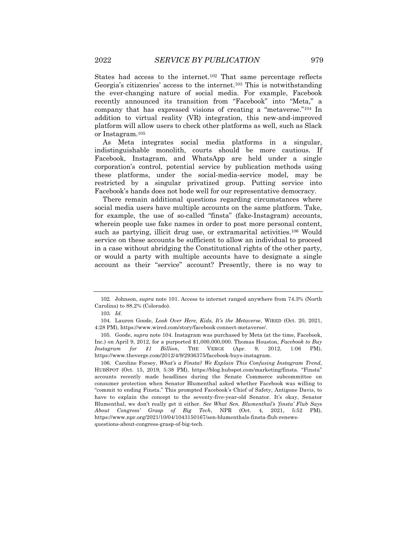States had access to the internet.102 That same percentage reflects Georgia's citizenries' access to the internet.103 This is notwithstanding the ever-changing nature of social media. For example, Facebook recently announced its transition from "Facebook" into "Meta," a company that has expressed visions of creating a "metaverse."104 In addition to virtual reality (VR) integration, this new-and-improved platform will allow users to check other platforms as well, such as Slack or Instagram.105

As Meta integrates social media platforms in a singular, indistinguishable monolith, courts should be more cautious. If Facebook, Instagram, and WhatsApp are held under a single corporation's control, potential service by publication methods using these platforms, under the social-media-service model, may be restricted by a singular privatized group. Putting service into Facebook's hands does not bode well for our representative democracy.

There remain additional questions regarding circumstances where social media users have multiple accounts on the same platform. Take, for example, the use of so-called "finsta" (fake-Instagram) accounts, wherein people use fake names in order to post more personal content, such as partying, illicit drug use, or extramarital activities.106 Would service on these accounts be sufficient to allow an individual to proceed in a case without abridging the Constitutional rights of the other party, or would a party with multiple accounts have to designate a single account as their "service" account? Presently, there is no way to

<sup>102.</sup> Johnson, *supra* note 101. Access to internet ranged anywhere from 74.3% (North Carolina) to 88.2% (Colorado).

<sup>103</sup>*. Id.*

<sup>104.</sup> Lauren Goode, *Look Over Here, Kids, It's the Metaverse*, WIRED (Oct. 20, 2021, 4:28 PM), https://www.wired.com/story/facebook-connect-metaverse/.

<sup>105.</sup> Goode, *supra* note 104. Instagram was purchased by Meta (at the time, Facebook, Inc.) on April 9, 2012, for a purported \$1,000,000,000. Thomas Houston, *Facebook to Buy Instagram for \$1 Billion*, THE VERGE (Apr. 9, 2012, 1:06 PM), https://www.theverge.com/2012/4/9/2936375/facebook-buys-instagram.

<sup>106.</sup> Caroline Forsey, *What's a Finsta? We Explain This Confusing Instagram Trend*, HUBSPOT (Oct. 15, 2019, 5:38 PM), https://blog.hubspot.com/marketing/finsta. "Finsta" accounts recently made headlines during the Senate Commerce subcommittee on consumer protection when Senator Blumenthal asked whether Facebook was willing to "commit to ending Finsta." This prompted Facebook's Chief of Safety, Antigone Davis, to have to explain the concept to the seventy-five-year-old Senator. It's okay, Senator Blumenthal, we don't really get it either. *See What Sen. Blumenthal's 'finsta' Flub Says About Congress' Grasp of Big Tech*, NPR (Oct. 4, 2021, 5:52 PM), https://www.npr.org/2021/10/04/1043150167/sen-blumenthals-finsta-flub-renewsquestions-about-congress-grasp-of-big-tech.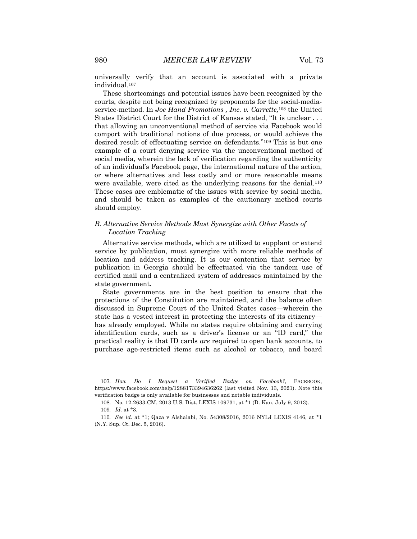universally verify that an account is associated with a private individual.107

These shortcomings and potential issues have been recognized by the courts, despite not being recognized by proponents for the social-mediaservice-method. In *Joe Hand Promotions , Inc. v. Carrette,*<sup>108</sup> the United States District Court for the District of Kansas stated, "It is unclear . . . that allowing an unconventional method of service via Facebook would comport with traditional notions of due process, or would achieve the desired result of effectuating service on defendants."109 This is but one example of a court denying service via the unconventional method of social media, wherein the lack of verification regarding the authenticity of an individual's Facebook page, the international nature of the action, or where alternatives and less costly and or more reasonable means were available, were cited as the underlying reasons for the denial.<sup>110</sup> These cases are emblematic of the issues with service by social media, and should be taken as examples of the cautionary method courts should employ.

#### *B. Alternative Service Methods Must Synergize with Other Facets of Location Tracking*

Alternative service methods, which are utilized to supplant or extend service by publication, must synergize with more reliable methods of location and address tracking. It is our contention that service by publication in Georgia should be effectuated via the tandem use of certified mail and a centralized system of addresses maintained by the state government.

State governments are in the best position to ensure that the protections of the Constitution are maintained, and the balance often discussed in Supreme Court of the United States cases—wherein the state has a vested interest in protecting the interests of its citizenry has already employed. While no states require obtaining and carrying identification cards, such as a driver's license or an "ID card," the practical reality is that ID cards *are* required to open bank accounts, to purchase age-restricted items such as alcohol or tobacco, and board

<sup>107</sup>*. How Do I Request a Verified Badge on Facebook?*, FACEBOOK, https://www.facebook.com/help/1288173394636262 (last visited Nov. 13, 2021). Note this verification badge is only available for businesses and notable individuals.

<sup>108.</sup> No. 12-2633-CM, 2013 U.S. Dist. LEXIS 109731, at \*1 (D. Kan. July 9, 2013). 109*. Id.* at \*3.

<sup>110</sup>*. See id.* at \*1; Qaza v Alshalabi, No. 54308/2016, 2016 NYLJ LEXIS 4146, at \*1 (N.Y. Sup. Ct. Dec. 5, 2016).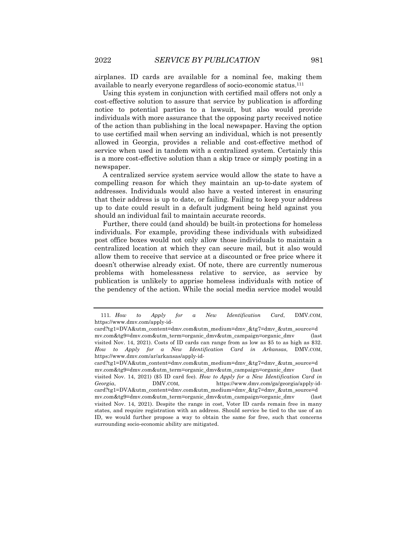airplanes. ID cards are available for a nominal fee, making them available to nearly everyone regardless of socio-economic status.111

Using this system in conjunction with certified mail offers not only a cost-effective solution to assure that service by publication is affording notice to potential parties to a lawsuit, but also would provide individuals with more assurance that the opposing party received notice of the action than publishing in the local newspaper. Having the option to use certified mail when serving an individual, which is not presently allowed in Georgia, provides a reliable and cost-effective method of service when used in tandem with a centralized system. Certainly this is a more cost-effective solution than a skip trace or simply posting in a newspaper.

A centralized service system service would allow the state to have a compelling reason for which they maintain an up-to-date system of addresses. Individuals would also have a vested interest in ensuring that their address is up to date, or failing. Failing to keep your address up to date could result in a default judgment being held against you should an individual fail to maintain accurate records.

Further, there could (and should) be built-in protections for homeless individuals. For example, providing these individuals with subsidized post office boxes would not only allow those individuals to maintain a centralized location at which they can secure mail, but it also would allow them to receive that service at a discounted or free price where it doesn't otherwise already exist. Of note, there are currently numerous problems with homelessness relative to service, as service by publication is unlikely to apprise homeless individuals with notice of the pendency of the action. While the social media service model would

<sup>111</sup>*. How to Apply for a New Identification Card*, DMV.COM, https://www.dmv.com/apply-id-

card?tg1=DVA&utm\_content=dmv.com&utm\_medium=dmv\_&tg7=dmv\_&utm\_source=d mv.com&tg9=dmv.com&utm\_term=organic\_dmv&utm\_campaign=organic\_dmv (last visited Nov. 14, 2021). Costs of ID cards can range from as low as \$5 to as high as \$32. *How to Apply for a New Identification Card in Arkansas*, DMV.COM, https://www.dmv.com/ar/arkansas/apply-id-

card?tg1=DVA&utm\_content=dmv.com&utm\_medium=dmv\_&tg7=dmv\_&utm\_source=d mv.com&tg9=dmv.com&utm\_term=organic\_dmv&utm\_campaign=organic\_dmv (last visited Nov. 14, 2021) (\$5 ID card fee). *How to Apply for a New Identification Card in Georgia*, DMV.COM, https://www.dmv.com/ga/georgia/apply-idcard?tg1=DVA&utm\_content=dmv.com&utm\_medium=dmv\_&tg7=dmv\_&utm\_source=d mv.com&tg9=dmv.com&utm\_term=organic\_dmv&utm\_campaign=organic\_dmv (last visited Nov. 14, 2021). Despite the range in cost, Voter ID cards remain free in many states, and require registration with an address. Should service be tied to the use of an ID, we would further propose a way to obtain the same for free, such that concerns surrounding socio-economic ability are mitigated.